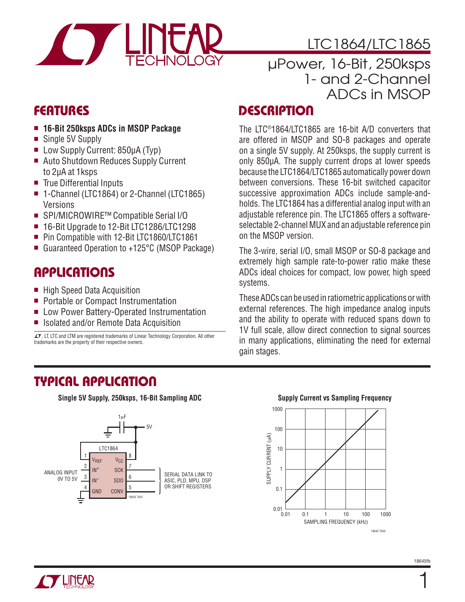

# LTC1864/LTC1865

## µPower, 16-Bit, 250ksps 1- and 2-Channel ADCs in MSOP

### **FEATURES**

- <sup>n</sup> **16-Bit 250ksps ADCs in MSOP Package**
- Single 5V Supply
- Low Supply Current: 850µA (Typ)
- Auto Shutdown Reduces Supply Current to 2μA at 1ksps
- $\blacksquare$  True Differential Inputs
- 1-Channel (LTC1864) or 2-Channel (LTC1865) Versions
- SPI/MICROWIRE™ Compatible Serial I/O
- 16-Bit Upgrade to 12-Bit LTC1286/LTC1298
- Pin Compatible with 12-Bit LTC1860/LTC1861
- Guaranteed Operation to +125°C (MSOP Package)

### **APPLICATIONS**

- $\blacksquare$  High Speed Data Acquisition
- **Portable or Compact Instrumentation**
- Low Power Battery-Operated Instrumentation
- Isolated and/or Remote Data Acquisition

 $LT$ , LT, LTC and LTM are registered trademarks of Linear Technology Corporation. All other trademarks are the property of their respective owners.

### **DESCRIPTION**

The LTC®1864/LTC1865 are 16-bit A/D converters that are offered in MSOP and SO-8 packages and operate on a single 5V supply. At 250ksps, the supply current is only 850μA. The supply current drops at lower speeds because the LTC1864/LTC1865 automatically power down between conversions. These 16-bit switched capacitor successive approximation ADCs include sample-andholds. The LTC1864 has a differential analog input with an adjustable reference pin. The LTC1865 offers a softwareselectable 2-channel MUX and an adjustable reference pin on the MSOP version.

The 3-wire, serial I/O, small MSOP or SO-8 package and extremely high sample rate-to-power ratio make these ADCs ideal choices for compact, low power, high speed systems.

These ADCs can be used in ratiometric applications or with external references. The high impedance analog inputs and the ability to operate with reduced spans down to 1V full scale, allow direct connection to signal sources in many applications, eliminating the need for external gain stages.

### **TYPICAL APPLICATION**

**Single 5V Supply, 250ksps, 16-Bit Sampling ADC**



#### **Supply Current vs Sampling Frequency**



1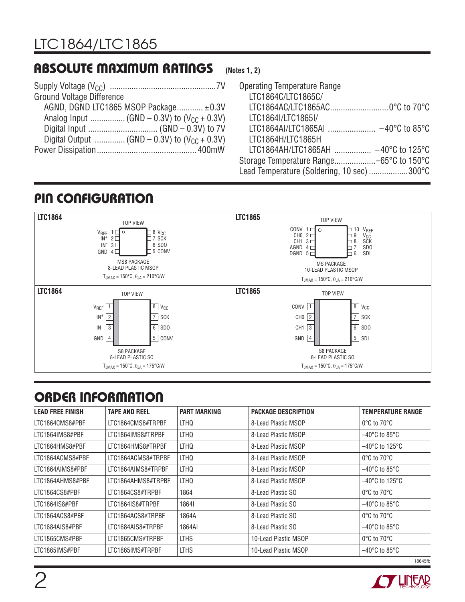## **ABSOLUTE MAXIMUM RATINGS**

| <b>Ground Voltage Difference</b>      |  |
|---------------------------------------|--|
| AGND, DGND LTC1865 MSOP Package ±0.3V |  |
|                                       |  |
|                                       |  |
|                                       |  |
|                                       |  |

#### **(Notes 1, 2)**

| <b>Operating Temperature Range</b>         |
|--------------------------------------------|
| LTC1864C/LTC1865C/                         |
| LTC1864AC/LTC1865AC0°C to 70°C             |
| LTC1864I/LTC1865I/                         |
|                                            |
| LTC1864H/LTC1865H                          |
| LTC1864AH/LTC1865AH  -40°C to 125°C        |
|                                            |
| Lead Temperature (Soldering, 10 sec) 300°C |

## **PIN CONFIGURATION**



# **ORDER INFORMATION**

| <b>LEAD FREE FINISH</b> | TAPE AND REEL      | <b>PART MARKING</b> | <b>PACKAGE DESCRIPTION</b> | <b>TEMPERATURE RANGE</b>            |
|-------------------------|--------------------|---------------------|----------------------------|-------------------------------------|
| LTC1864CMS8#PBF         | LTC1864CMS8#TRPBF  | LTHQ                | 8-Lead Plastic MSOP        | $0^{\circ}$ C to $70^{\circ}$ C     |
| LTC1864IMS8#PBF         | LTC1864IMS8#TRPBF  | LTHQ                | 8-Lead Plastic MSOP        | $-40^{\circ}$ C to 85 $^{\circ}$ C  |
| LTC1864HMS8#PBF         | LTC1864HMS8#TRPBF  | LTHQ                | 8-Lead Plastic MSOP        | $-40^{\circ}$ C to 125 $^{\circ}$ C |
| LTC1864ACMS8#PBF        | LTC1864ACMS8#TRPBF | LTHQ                | 8-Lead Plastic MSOP        | $0^{\circ}$ C to $70^{\circ}$ C     |
| LTC1864AIMS8#PBF        | LTC1864AIMS8#TRPBF | LTHQ                | 8-Lead Plastic MSOP        | $-40^{\circ}$ C to 85 $^{\circ}$ C  |
| LTC1864AHMS8#PBF        | LTC1864AHMS8#TRPBF | LTHQ                | 8-Lead Plastic MSOP        | $-40^{\circ}$ C to 125 $^{\circ}$ C |
| LTC1864CS8#PBF          | LTC1864CS8#TRPBF   | 1864                | 8-Lead Plastic SO          | $0^{\circ}$ C to $70^{\circ}$ C     |
| LTC1864IS8#PBF          | LTC1864IS8#TRPBF   | 18641               | 8-Lead Plastic SO          | $-40^{\circ}$ C to 85 $^{\circ}$ C  |
| LTC1864ACS8#PBF         | LTC1864ACS8#TRPBF  | 1864A               | 8-Lead Plastic SO          | $0^{\circ}$ C to $70^{\circ}$ C     |
| LTC1684AIS8#PBF         | LTC1684AIS8#TRPBF  | 1864AI              | 8-Lead Plastic SO          | $-40^{\circ}$ C to 85 $^{\circ}$ C  |
| LTC1865CMS#PBF          | LTC1865CMS#TRPBF   | <b>LTHS</b>         | 10-Lead Plastic MSOP       | $0^{\circ}$ C to $70^{\circ}$ C     |
| LTC1865IMS#PBF          | LTC1865IMS#TRPBF   | <b>LTHS</b>         | 10-Lead Plastic MSOP       | $-40^{\circ}$ C to 85 $^{\circ}$ C  |
|                         |                    |                     |                            | 18645fh                             |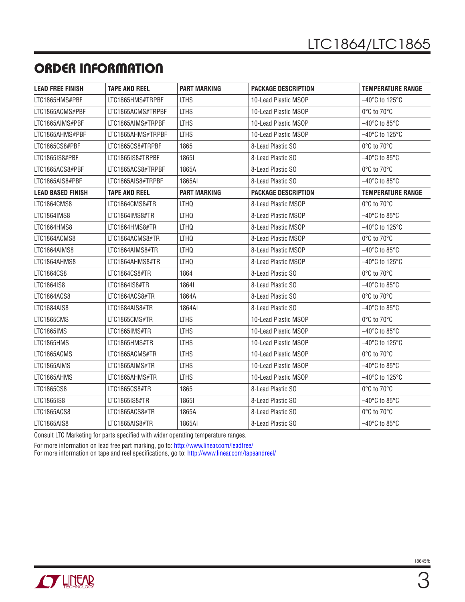## **ORDER INFORMATION**

| <b>LEAD FREE FINISH</b>  | <b>TAPE AND REEL</b> | <b>PART MARKING</b> | <b>PACKAGE DESCRIPTION</b>                              | <b>TEMPERATURE RANGE</b>            |  |
|--------------------------|----------------------|---------------------|---------------------------------------------------------|-------------------------------------|--|
| LTC1865HMS#PBF           | LTC1865HMS#TRPBF     | <b>LTHS</b>         | 10-Lead Plastic MSOP                                    | $-40^{\circ}$ C to 125 $^{\circ}$ C |  |
| LTC1865ACMS#PBF          | LTC1865ACMS#TRPBF    | <b>LTHS</b>         | 10-Lead Plastic MSOP                                    | 0°C to 70°C                         |  |
| LTC1865AIMS#PBF          | LTC1865AIMS#TRPBF    | <b>LTHS</b>         | 10-Lead Plastic MSOP                                    | $-40^{\circ}$ C to 85 $^{\circ}$ C  |  |
| LTC1865AHMS#PBF          | LTC1865AHMS#TRPBF    | <b>LTHS</b>         | 10-Lead Plastic MSOP                                    | $-40^{\circ}$ C to 125 $^{\circ}$ C |  |
| LTC1865CS8#PBF           | LTC1865CS8#TRPBF     | 1865                | 8-Lead Plastic SO                                       | 0°C to 70°C                         |  |
| LTC1865IS8#PBF           | LTC1865IS8#TRPBF     | 18651               | 8-Lead Plastic SO                                       | $-40^{\circ}$ C to 85 $^{\circ}$ C  |  |
| LTC1865ACS8#PBF          | LTC1865ACS8#TRPBF    | 1865A               | 8-Lead Plastic SO                                       | 0°C to 70°C                         |  |
| LTC1865AIS8#PBF          | LTC1865AIS8#TRPBF    | 1865AI              | 8-Lead Plastic SO                                       | $-40^{\circ}$ C to 85 $^{\circ}$ C  |  |
| <b>LEAD BASED FINISH</b> | <b>TAPE AND REEL</b> | <b>PART MARKING</b> | <b>PACKAGE DESCRIPTION</b>                              | <b>TEMPERATURE RANGE</b>            |  |
| LTC1864CMS8              | LTC1864CMS8#TR       | LTHQ                | 8-Lead Plastic MSOP                                     | $0^{\circ}$ C to $70^{\circ}$ C     |  |
| LTC1864IMS8              | LTC1864IMS8#TR       | LTHQ                | 8-Lead Plastic MSOP                                     | $-40^{\circ}$ C to 85 $^{\circ}$ C  |  |
| LTC1864HMS8              | LTC1864HMS8#TR       | <b>LTHQ</b>         | 8-Lead Plastic MSOP                                     | $-40^{\circ}$ C to 125 $^{\circ}$ C |  |
| LTC1864ACMS8             | LTC1864ACMS8#TR      | LTHQ                | 8-Lead Plastic MSOP                                     | 0°C to 70°C                         |  |
| LTC1864AIMS8             | LTC1864AIMS8#TR      | LTHQ                | 8-Lead Plastic MSOP                                     | $-40^{\circ}$ C to 85 $^{\circ}$ C  |  |
| LTC1864AHMS8             | LTC1864AHMS8#TR      | <b>LTHQ</b>         | 8-Lead Plastic MSOP                                     | $-40^{\circ}$ C to 125 $^{\circ}$ C |  |
| LTC1864CS8               | LTC1864CS8#TR        | 1864                | 8-Lead Plastic SO                                       | 0°C to 70°C                         |  |
| LTC1864IS8               | LTC1864IS8#TR        | 18641               | 8-Lead Plastic SO                                       | $-40^{\circ}$ C to 85 $^{\circ}$ C  |  |
| LTC1864ACS8              | LTC1864ACS8#TR       | 1864A               | 8-Lead Plastic SO                                       | $0^{\circ}$ C to $70^{\circ}$ C     |  |
| LTC1684AIS8              | LTC1684AIS8#TR       | 1864AI              | 8-Lead Plastic SO                                       | $-40^{\circ}$ C to 85 $^{\circ}$ C  |  |
| LTC1865CMS               | LTC1865CMS#TR        | <b>LTHS</b>         | 10-Lead Plastic MSOP                                    | 0°C to 70°C                         |  |
| LTC1865IMS               | LTC1865IMS#TR        | <b>LTHS</b>         | 10-Lead Plastic MSOP                                    | $-40^{\circ}$ C to 85 $^{\circ}$ C  |  |
| LTC1865HMS               | LTC1865HMS#TR        | <b>LTHS</b>         | 10-Lead Plastic MSOP                                    | $-40^{\circ}$ C to 125°C            |  |
| LTC1865ACMS              | LTC1865ACMS#TR       | <b>LTHS</b>         | 10-Lead Plastic MSOP                                    | 0°C to 70°C                         |  |
| LTC1865AIMS              | LTC1865AIMS#TR       | <b>LTHS</b>         | 10-Lead Plastic MSOP                                    | $-40^{\circ}$ C to 85 $^{\circ}$ C  |  |
| LTC1865AHMS              | LTC1865AHMS#TR       | <b>LTHS</b>         | 10-Lead Plastic MSOP                                    | $-40^{\circ}$ C to 125 $^{\circ}$ C |  |
| LTC1865CS8               | LTC1865CS8#TR        | 1865                | $0^{\circ}$ C to $70^{\circ}$ C<br>8-Lead Plastic SO    |                                     |  |
| LTC1865IS8               | LTC1865IS8#TR        | 18651               | 8-Lead Plastic SO                                       | $-40^{\circ}$ C to 85 $^{\circ}$ C  |  |
| LTC1865ACS8              | LTC1865ACS8#TR       | 1865A               | 8-Lead Plastic SO                                       | 0°C to 70°C                         |  |
| LTC1865AIS8              | LTC1865AIS8#TR       | 1865AI              | $-40^{\circ}$ C to 85 $^{\circ}$ C<br>8-Lead Plastic SO |                                     |  |

Consult LTC Marketing for parts specified with wider operating temperature ranges.

For more information on lead free part marking, go to:<http://www.linear.com/leadfree/>

For more information on tape and reel specifications, go to:<http://www.linear.com/tapeandreel/>

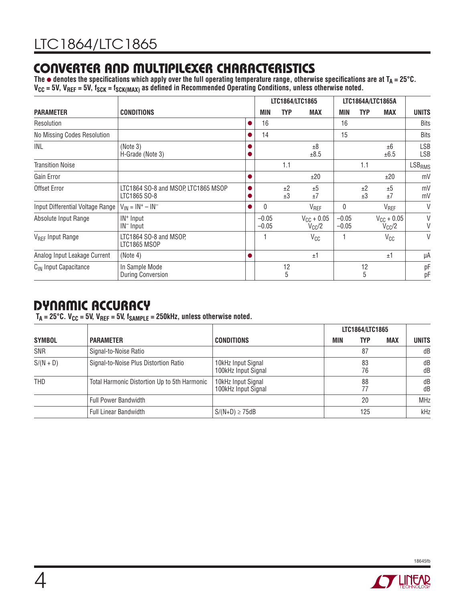## **CONVERTER AND MULTIPILEXER CHARACTERISTICS**

The  $\bullet$  denotes the specifications which apply over the full operating temperature range, otherwise specifications are at  $T_A = 25^{\circ}$ C. V<sub>CC</sub> = 5V, V<sub>REF</sub> = 5V, f<sub>SCK</sub> = f<sub>SCK(MAX)</sub> as defined in Recommended Operating Conditions, unless otherwise noted.

|                                   |                                                     |           | LTC1864/LTC1865    |            |                               | LTC1864A/LTC1865A  |            |                               |                   |
|-----------------------------------|-----------------------------------------------------|-----------|--------------------|------------|-------------------------------|--------------------|------------|-------------------------------|-------------------|
| <b>PARAMETER</b>                  | <b>CONDITIONS</b>                                   |           | MIN                | <b>TYP</b> | <b>MAX</b>                    | <b>MIN</b>         | <b>TYP</b> | <b>MAX</b>                    | <b>UNITS</b>      |
| Resolution                        |                                                     | $\bullet$ | 16                 |            |                               | 16                 |            |                               | <b>Bits</b>       |
| No Missing Codes Resolution       |                                                     |           | 14                 |            |                               | 15                 |            |                               | <b>Bits</b>       |
| INL                               | (Note 3)<br>H-Grade (Note 3)                        |           |                    |            | ±8<br>±8.5                    |                    |            | ±6<br>±6.5                    | LSB<br><b>LSB</b> |
| <b>Transition Noise</b>           |                                                     |           |                    | 1.1        |                               |                    | 1.1        |                               | $LSB_{RMS}$       |
| Gain Error                        |                                                     | $\bullet$ |                    |            | ±20                           |                    |            | ±20                           | mV                |
| Offset Error                      | LTC1864 SO-8 and MSOP, LTC1865 MSOP<br>LTC1865 SO-8 |           |                    | ±2<br>±3   | ±5<br>±7                      |                    | ±2<br>±3   | ±5<br>±7                      | mV<br>mV          |
| Input Differential Voltage Range  | $V_{IN} = IN^+ - IN^-$                              | ●         | $\Omega$           |            | V <sub>REF</sub>              | $\mathbf{0}$       |            | V <sub>REF</sub>              | V                 |
| Absolute Input Range              | IN <sup>+</sup> Input<br>IN <sup>-</sup> Input      |           | $-0.05$<br>$-0.05$ |            | $V_{CC}$ + 0.05<br>$V_{CC}/2$ | $-0.05$<br>$-0.05$ |            | $V_{CC} + 0.05$<br>$V_{CC}/2$ | V<br>V            |
| V <sub>RFF</sub> Input Range      | LTC1864 SO-8 and MSOP,<br>LTC1865 MSOP              |           |                    |            | $V_{CC}$                      |                    |            | $V_{CC}$                      | $\vee$            |
| Analog Input Leakage Current      | (Note 4)                                            | $\bullet$ |                    |            | ±1                            |                    |            | ±1                            | μA                |
| C <sub>IN</sub> Input Capacitance | In Sample Mode<br><b>During Conversion</b>          |           |                    | 12<br>5    |                               |                    | 12<br>5    |                               | pF<br>pF          |

## **DYNAMIC ACCURACY**

 $T_A = 25^{\circ}$ C.  $V_{CC} = 5V$ ,  $V_{REF} = 5V$ ,  $f_{SAMPLE} = 250$ kHz, unless otherwise noted.

|               |                                              |                                           |            | LTC1864/LTC1865 |            |              |
|---------------|----------------------------------------------|-------------------------------------------|------------|-----------------|------------|--------------|
| <b>SYMBOL</b> | <b>PARAMETER</b>                             | <b>CONDITIONS</b>                         | <b>MIN</b> | <b>TYP</b>      | <b>MAX</b> | <b>UNITS</b> |
| SNR           | Signal-to-Noise Ratio                        |                                           |            | 87              |            | dB           |
| $S/(N + D)$   | Signal-to-Noise Plus Distortion Ratio        | 10kHz Input Signal<br>100kHz Input Signal |            | 83<br>76        |            | dB<br>dB     |
| <b>THD</b>    | Total Harmonic Distortion Up to 5th Harmonic | 10kHz Input Signal<br>100kHz Input Signal |            | 88<br>77        |            | dB<br>dB     |
|               | <b>Full Power Bandwidth</b>                  |                                           |            | 20              |            | <b>MHz</b>   |
|               | <b>Full Linear Bandwidth</b>                 | $S/(N+D) \geq 75dB$                       |            | 125             |            | kHz          |

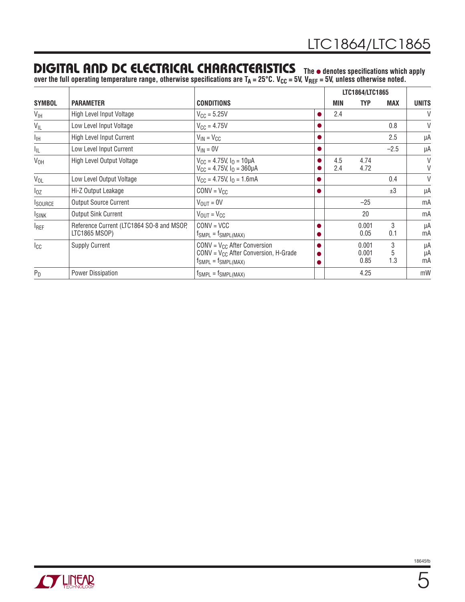### **DIGITAL AND DC ELECTRICAL CHARACTERISTICS** The  $\bullet$  denotes specifications which apply

over the full operating temperature range, otherwise specifications are T<sub>A</sub> = 25°C. V<sub>CC</sub> = 5V, V<sub>REF</sub> = 5V, unless otherwise noted.

|                  |                                                            |                                                                                                             | LTC1864/LTC1865 |            |                        |               |                |
|------------------|------------------------------------------------------------|-------------------------------------------------------------------------------------------------------------|-----------------|------------|------------------------|---------------|----------------|
| <b>SYMBOL</b>    | <b>PARAMETER</b>                                           | <b>CONDITIONS</b>                                                                                           |                 | MIN        | <b>TYP</b>             | <b>MAX</b>    | <b>UNITS</b>   |
| V <sub>IH</sub>  | High Level Input Voltage                                   | $V_{\text{CC}} = 5.25V$                                                                                     |                 | 2.4        |                        |               | V              |
| $V_{IL}$         | Low Level Input Voltage                                    | $V_{\text{CC}} = 4.75V$                                                                                     |                 |            |                        | 0.8           | V              |
| Īщ               | <b>High Level Input Current</b>                            | $V_{IN} = V_{CC}$                                                                                           |                 |            |                        | 2.5           | μA             |
| I <sub>IL</sub>  | Low Level Input Current                                    | $V_{IN} = 0V$                                                                                               |                 |            |                        | $-2.5$        | μA             |
| V <sub>OH</sub>  | High Level Output Voltage                                  | $V_{CC}$ = 4.75V, $IO$ = 10µA<br>$V_{CC}$ = 4.75V, $I_{O}$ = 360µA                                          |                 | 4.5<br>2.4 | 4.74<br>4.72           |               | V<br>V         |
| $V_{OL}$         | Low Level Output Voltage                                   | $V_{CC}$ = 4.75V, $IO$ = 1.6mA                                                                              |                 |            |                        | 0.4           | V              |
| $I_{OZ}$         | Hi-Z Output Leakage                                        | $CONV = V_{CC}$                                                                                             |                 |            |                        | ±3            | μA             |
| <b>ISOURCE</b>   | <b>Output Source Current</b>                               | $V_{\text{OUT}} = 0V$                                                                                       |                 |            | $-25$                  |               | mA             |
| <b>ISINK</b>     | <b>Output Sink Current</b>                                 | $V_{OUT} = V_{CC}$                                                                                          |                 |            | 20                     |               | mA             |
| <sup>I</sup> REF | Reference Current (LTC1864 SO-8 and MSOP,<br>LTC1865 MSOP) | $CONV = VCC$<br>$fSMPL = fSMPL(MAX)$                                                                        |                 |            | 0.001<br>0.05          | 3<br>0.1      | μA<br>mA       |
| $I_{\text{CC}}$  | <b>Supply Current</b>                                      | $CONV = V_{CC}$ After Conversion<br>$CONV = V_{CC}$ After Conversion, H-Grade<br>$f_{SMPL} = f_{SMPL(MAX)}$ |                 |            | 0.001<br>0.001<br>0.85 | 3<br>5<br>1.3 | μA<br>μA<br>mA |
| $P_D$            | Power Dissipation                                          | $f_{SMPL} = f_{SMPL(MAX)}$                                                                                  |                 |            | 4.25                   |               | mW             |

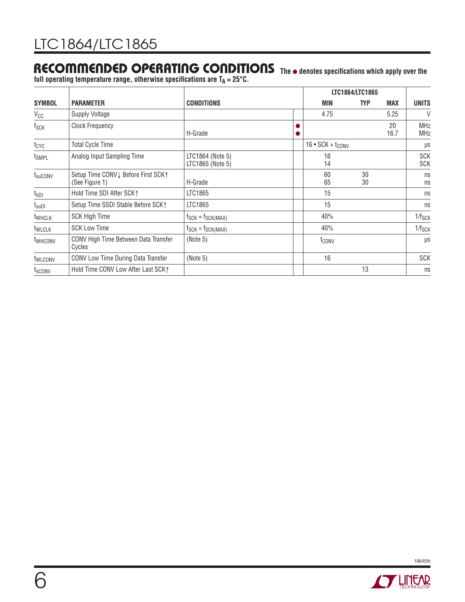### **RECOMMENDED OPERATING CONDITIONS The** ● **denotes specifi cations which apply over the**

full operating temperature range, otherwise specifications are T<sub>A</sub> = 25°C.

|                     |                                                      |                                      | LTC1864/LTC1865 |                                  |            |            |                          |
|---------------------|------------------------------------------------------|--------------------------------------|-----------------|----------------------------------|------------|------------|--------------------------|
| <b>SYMBOL</b>       | <b>PARAMETER</b>                                     | <b>CONDITIONS</b>                    |                 | MIN                              | <b>TYP</b> | <b>MAX</b> | <b>UNITS</b>             |
| $V_{CC}$            | <b>Supply Voltage</b>                                |                                      |                 | 4.75                             |            | 5.25       | V                        |
| $f_{\mathsf{SCK}}$  | <b>Clock Frequency</b>                               | H-Grade                              |                 |                                  |            | 20<br>16.7 | <b>MHz</b><br><b>MHz</b> |
| $t_{\text{CYC}}$    | <b>Total Cycle Time</b>                              |                                      |                 | $16 \cdot \text{SCK} + t_{CONV}$ |            |            | μs                       |
| t <sub>SMPL</sub>   | Analog Input Sampling Time                           | LTC1864 (Note 5)<br>LTC1865 (Note 5) |                 | 16<br>14                         |            |            | <b>SCK</b><br><b>SCK</b> |
| t <sub>suCONV</sub> | Setup Time CONV↓ Before First SCK↑<br>(See Figure 1) | H-Grade                              |                 | 60<br>65                         | 30<br>30   |            | ns<br>ns                 |
| $t_{hDI}$           | Hold Time SDI After SCK1                             | LTC1865                              |                 | 15                               |            |            | ns                       |
| $t_{\text{suDI}}$   | Setup Time SSDI Stable Before SCK1                   | LTC1865                              |                 | 15                               |            |            | ns                       |
| <sup>t</sup> WHCLK  | <b>SCK High Time</b>                                 | $f_{SCK} = f_{SCK(MAX)}$             |                 | 40%                              |            |            | $1/f_{SCK}$              |
| <b>TWLCLK</b>       | <b>SCK Low Time</b>                                  | $f_{SCK} = f_{SCK(MAX)}$             |                 | 40%                              |            |            | $1/f_{SCK}$              |
| twhconv             | CONV High Time Between Data Transfer<br>Cycles       | (Note 5)                             |                 | $t_{\mathsf{CONV}}$              |            |            | $\mu s$                  |
| t <sub>WLCONV</sub> | CONV Low Time During Data Transfer                   | (Note 5)                             |                 | 16                               |            |            | <b>SCK</b>               |
| thconv              | Hold Time CONV Low After Last SCK1                   |                                      |                 |                                  | 13         |            | ns                       |

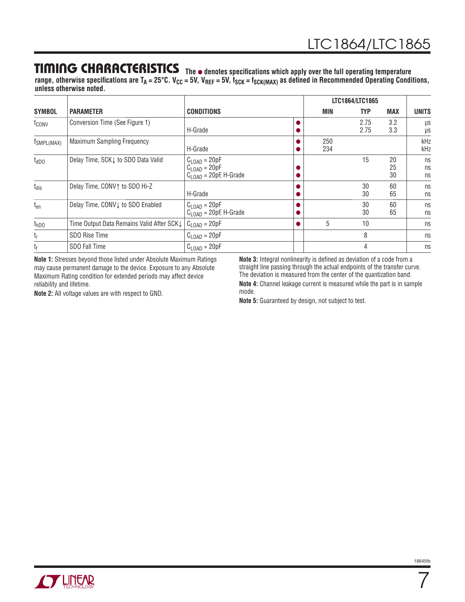### **TIMING CHARACTERISTICS** The  $\bullet$  denotes specifications which apply over the full operating temperature

range, otherwise specifications are T<sub>A</sub> = 25°C. V<sub>CC</sub> = 5V, V<sub>REF</sub> = 5V, f<sub>SCK</sub> = f<sub>SCK(MAX)</sub> as defined in Recommended Operating Conditions, **unless otherwise noted.**

|                        |                                            |                                                                                       | LTC1864/LTC1865 |            |              |                |                |
|------------------------|--------------------------------------------|---------------------------------------------------------------------------------------|-----------------|------------|--------------|----------------|----------------|
| <b>SYMBOL</b>          | <b>PARAMETER</b>                           | <b>CONDITIONS</b>                                                                     |                 | MIN        | <b>TYP</b>   | <b>MAX</b>     | <b>UNITS</b>   |
| t <sub>conv</sub>      | Conversion Time (See Figure 1)             | H-Grade                                                                               |                 |            | 2.75<br>2.75 | 3.2<br>3.3     | μs<br>μs       |
| f <sub>SMPL(MAX)</sub> | <b>Maximum Sampling Frequency</b>          | H-Grade                                                                               |                 | 250<br>234 |              |                | kHz<br>kHz     |
| $t_{dDO}$              | Delay Time, SCK   to SDO Data Valid        | $C_{\text{LOAD}} = 20pF$<br>$C_{\text{LOAD}} = 20pF$<br>$C1$ $_{OAD}$ = 20pF, H-Grade |                 |            | 15           | 20<br>25<br>30 | ns<br>ns<br>ns |
| $t_{dis}$              | Delay Time, CONV↑ to SDO Hi-Z              | H-Grade                                                                               |                 |            | 30<br>30     | 60<br>65       | ns<br>ns       |
| t <sub>en</sub>        | Delay Time, CONV↓ to SDO Enabled           | $C_{\text{LOAD}} = 20pF$<br>$C1$ $\cap$ A <sub>D</sub> = 20pF, H-Grade                |                 |            | 30<br>30     | 60<br>65       | ns<br>ns       |
| t <sub>hDO</sub>       | Time Output Data Remains Valid After SCK L | $C_{\text{LOAD}} = 20pF$                                                              |                 | 5          | 10           |                | ns             |
| t <sub>r</sub>         | SDO Rise Time                              | $C_{\text{LOAD}} = 20pF$                                                              |                 |            | 8            |                | ns             |
| t <sub>f</sub>         | <b>SDO Fall Time</b>                       | $C_{\text{LOAD}} = 20pF$                                                              |                 |            | 4            |                | ns             |

**Note 1:** Stresses beyond those listed under Absolute Maximum Ratings may cause permanent damage to the device. Exposure to any Absolute Maximum Rating condition for extended periods may affect device reliability and lifetime.

**Note 2:** All voltage values are with respect to GND.

Note 3: Integral nonlinearity is defined as deviation of a code from a straight line passing through the actual endpoints of the transfer curve. The deviation is measured from the center of the quantization band.

**Note 4:** Channel leakage current is measured while the part is in sample mode.

**Note 5:** Guaranteed by design, not subject to test.



7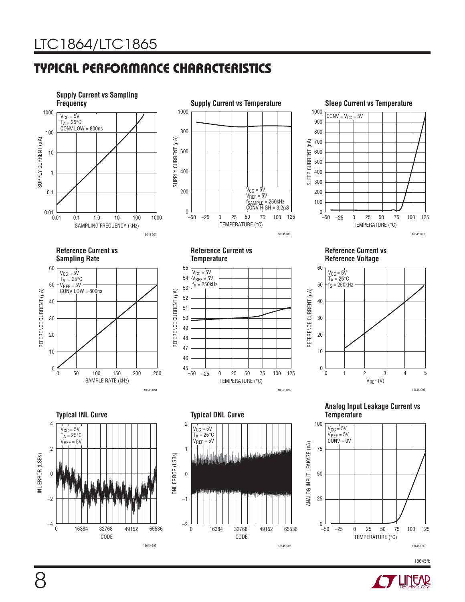## **TYPICAL PERFORMANCE CHARACTERISTICS**



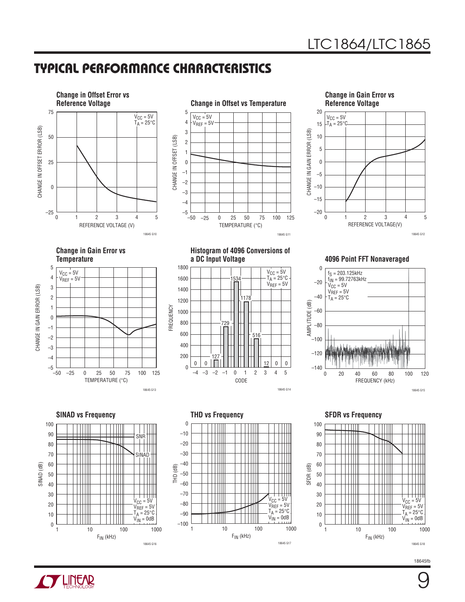## **TYPICAL PERFORMANCE CHARACTERISTICS**







**Change in Gain Error vs Temperature**



**Histogram of 4096 Conversions of** 



FREQUENCY

FREQUENCY

**4096 Point FFT Nonaveraged** 



100 90 SNR<br>| | ₩ 80 | | |<br>SINAD<br>| | | 70 60 SINAD (dB) 50 40 30 ┯┷ V<sub>CC</sub> = 5V<br>V<sub>REF</sub> = 5V 20  $T_A = 25^{\circ}C$ 10  $V_{IN} = 0dB$  $\boldsymbol{0}$ 1 10 100 1000  $F_{IN}$  (kHz) 18645 G16





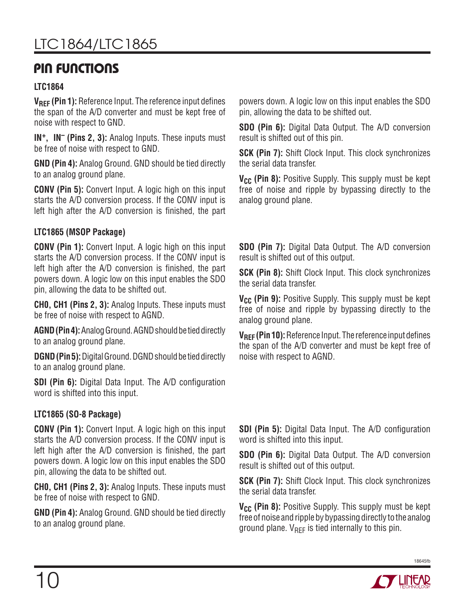### **PIN FUNCTIONS**

#### **LTC1864**

**VRFF (Pin 1):** Reference Input. The reference input defines the span of the A/D converter and must be kept free of noise with respect to GND.

**IN+, IN– (Pins 2, 3):** Analog Inputs. These inputs must be free of noise with respect to GND.

**GND (Pin 4):** Analog Ground. GND should be tied directly to an analog ground plane.

**CONV (Pin 5):** Convert Input. A logic high on this input starts the A/D conversion process. If the CONV input is left high after the A/D conversion is finished, the part

#### **LTC1865 (MSOP Package)**

**CONV (Pin 1):** Convert Input. A logic high on this input starts the A/D conversion process. If the CONV input is left high after the A/D conversion is finished, the part powers down. A logic low on this input enables the SDO pin, allowing the data to be shifted out.

**CH0, CH1 (Pins 2, 3):** Analog Inputs. These inputs must be free of noise with respect to AGND.

**AGND (Pin 4):** Analog Ground. AGND should be tied directly to an analog ground plane.

**DGND (Pin 5):** Digital Ground. DGND should be tied directly to an analog ground plane.

**SDI (Pin 6):** Digital Data Input. The A/D configuration word is shifted into this input.

#### **LTC1865 (SO-8 Package)**

**CONV (Pin 1):** Convert Input. A logic high on this input starts the A/D conversion process. If the CONV input is left high after the A/D conversion is finished, the part powers down. A logic low on this input enables the SDO pin, allowing the data to be shifted out.

**CH0, CH1 (Pins 2, 3):** Analog Inputs. These inputs must be free of noise with respect to GND.

**GND (Pin 4):** Analog Ground. GND should be tied directly to an analog ground plane.

powers down. A logic low on this input enables the SDO pin, allowing the data to be shifted out.

**SDO (Pin 6):** Digital Data Output. The A/D conversion result is shifted out of this pin.

**SCK (Pin 7):** Shift Clock Input. This clock synchronizes the serial data transfer.

**V<sub>CC</sub>** (Pin 8): Positive Supply. This supply must be kept free of noise and ripple by bypassing directly to the analog ground plane.

**SDO (Pin 7):** Digital Data Output. The A/D conversion result is shifted out of this output.

**SCK (Pin 8):** Shift Clock Input. This clock synchronizes the serial data transfer.

**V<sub>CC</sub>** (Pin 9): Positive Supply. This supply must be kept free of noise and ripple by bypassing directly to the analog ground plane.

**V<sub>RFF</sub>** (Pin 10): Reference Input. The reference input defines the span of the A/D converter and must be kept free of noise with respect to AGND.

**SDI (Pin 5):** Digital Data Input. The A/D configuration word is shifted into this input.

**SDO (Pin 6):** Digital Data Output. The A/D conversion result is shifted out of this output.

**SCK (Pin 7):** Shift Clock Input. This clock synchronizes the serial data transfer.

**V<sub>CC</sub>** (Pin 8): Positive Supply. This supply must be kept free of noise and ripple by bypassing directly to the analog ground plane.  $V_{REF}$  is tied internally to this pin.



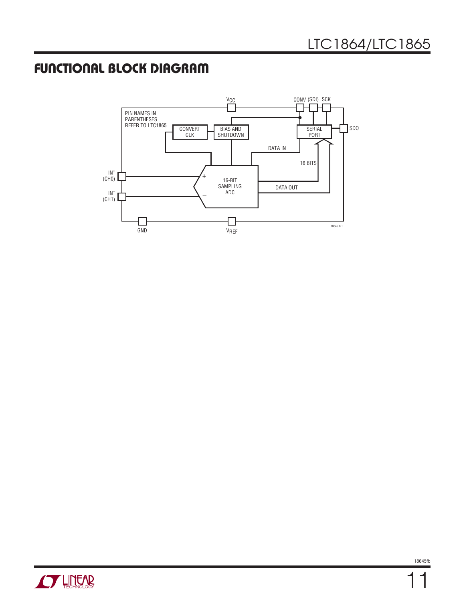## **FUNCTIONAL BLOCK DIAGRAM**



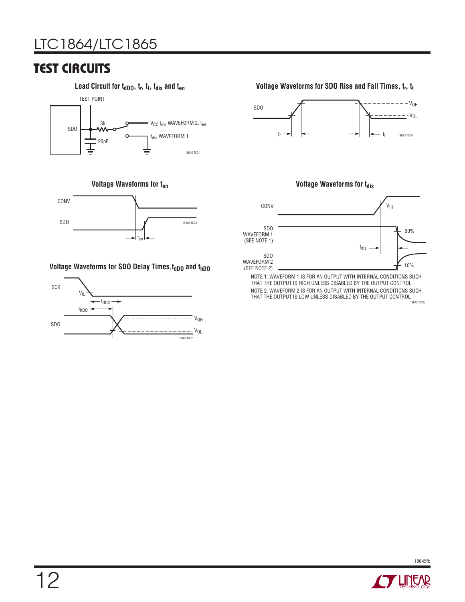# LTC1864/LTC1865

### **TEST CIRCUITS**





#### **Voltage Waveforms for SDO Delay Times, topo and thDO**



#### Load Circuit for t<sub>dDO</sub>, t<sub>r</sub>, t<sub>f</sub>, t<sub>dis</sub> and t<sub>en</sub> *Local Compare SDO Rise and Fall Times, t<sub>r</sub>, t<sub>f</sub> t<sub>f</sub>*







NOTE 1: WAVEFORM 1 IS FOR AN OUTPUT WITH INTERNAL CONDITIONS SUCH THAT THE OUTPUT IS HIGH UNLESS DISABLED BY THE OUTPUT CONTROL NOTE 2: WAVEFORM 2 IS FOR AN OUTPUT WITH INTERNAL CONDITIONS SUCH THAT THE OUTPUT IS LOW UNLESS DISABLED BY THE OUTPUT CONTROL

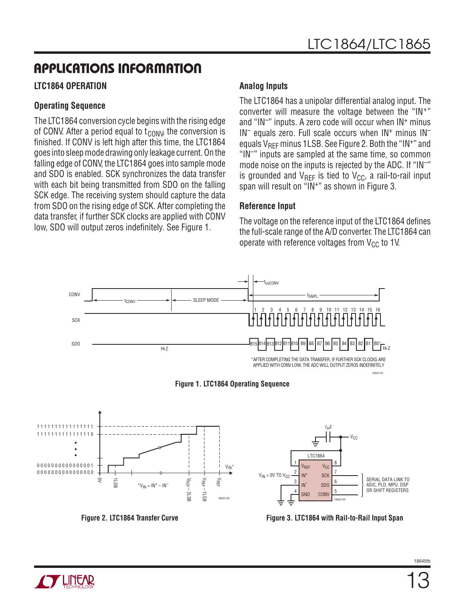#### **LTC1864 OPERATION**

#### **Operating Sequence**

The LTC1864 conversion cycle begins with the rising edge of CONV. After a period equal to  $t_{\text{CONV}}$ , the conversion is finished. If CONV is left high after this time, the LTC1864 goes into sleep mode drawing only leakage current. On the falling edge of CONV, the LTC1864 goes into sample mode and SDO is enabled. SCK synchronizes the data transfer with each bit being transmitted from SDO on the falling SCK edge. The receiving system should capture the data from SDO on the rising edge of SCK. After completing the data transfer, if further SCK clocks are applied with CONV low, SDO will output zeros indefinitely. See Figure 1.

#### **Analog Inputs**

The LTC1864 has a unipolar differential analog input. The converter will measure the voltage between the "IN+" and " $IN^-$ " inputs. A zero code will occur when  $IN^+$  minus  $IN^-$  equals zero. Full scale occurs when  $IN^+$  minus  $IN^$ equals  $V_{BFF}$  minus 1LSB. See Figure 2. Both the "IN+" and "IN–" inputs are sampled at the same time, so common mode noise on the inputs is rejected by the ADC. If "IN–" is grounded and  $V_{RFF}$  is tied to  $V_{CC}$ , a rail-to-rail input span will result on "IN+" as shown in Figure 3.

#### **Reference Input**

The voltage on the reference input of the LTC1864 defines the full-scale range of the A/D converter. The LTC1864 can operate with reference voltages from  $V_{CC}$  to 1V.











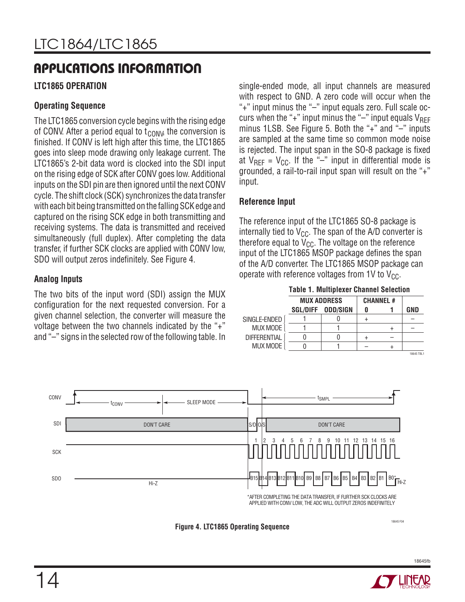#### **LTC1865 OPERATION**

#### **Operating Sequence**

The LTC1865 conversion cycle begins with the rising edge of CONV. After a period equal to  $t_{\text{CONV}}$ , the conversion is finished. If CONV is left high after this time, the LTC1865 goes into sleep mode drawing only leakage current. The LTC1865's 2-bit data word is clocked into the SDI input on the rising edge of SCK after CONV goes low. Additional inputs on the SDI pin are then ignored until the next CONV cycle. The shift clock (SCK) synchronizes the data transfer with each bit being transmitted on the falling SCK edge and captured on the rising SCK edge in both transmitting and receiving systems. The data is transmitted and received simultaneously (full duplex). After completing the data transfer, if further SCK clocks are applied with CONV low, SDO will output zeros indefinitely. See Figure 4.

#### **Analog Inputs**

The two bits of the input word (SDI) assign the MUX configuration for the next requested conversion. For a given channel selection, the converter will measure the voltage between the two channels indicated by the "+" and "–" signs in the selected row of the following table. In

single-ended mode, all input channels are measured with respect to GND. A zero code will occur when the "+" input minus the "–" input equals zero. Full scale occurs when the "+" input minus the " $-$ " input equals  $V_{REF}$ minus 1LSB. See Figure 5. Both the "+" and "-" inputs are sampled at the same time so common mode noise is rejected. The input span in the SO-8 package is fixed at  $V_{REF} = V_{CC}$ . If the "-" input in differential mode is grounded, a rail-to-rail input span will result on the "+" input.

#### **Reference Input**

The reference input of the LTC1865 SO-8 package is internally tied to  $V_{CC}$ . The span of the A/D converter is therefore equal to  $V_{CC}$ . The voltage on the reference input of the LTC1865 MSOP package defines the span of the A/D converter. The LTC1865 MSOP package can operate with reference voltages from 1V to  $V_{CC}$ .

**MUX ADDRESS Table 1. Multiplexer Channel Selection SGL/DIFF ODD/SIGN** 1 1 0 0  $\Omega$ 1 0 1 **CHANNEL # 0** + + – **1** + – + **GND** – – 18645 TBL1 SINGLE-ENDED MUX MODE **DIFFERENTIAL** MUX MODE



**Figure 4. LTC1865 Operating Sequence**

18645 F04

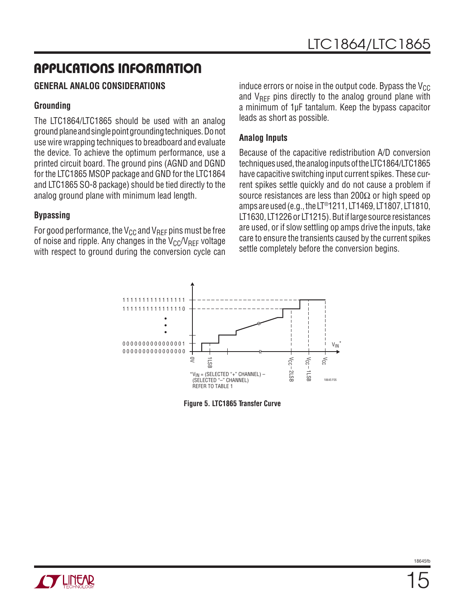#### **GENERAL ANALOG CONSIDERATIONS**

#### **Grounding**

The LTC1864/LTC1865 should be used with an analog ground plane and single point grounding techniques. Do not use wire wrapping techniques to breadboard and evaluate the device. To achieve the optimum performance, use a printed circuit board. The ground pins (AGND and DGND for the LTC1865 MSOP package and GND for the LTC1864 and LTC1865 SO-8 package) should be tied directly to the analog ground plane with minimum lead length.

#### **Bypassing**

For good performance, the  $V_{CC}$  and  $V_{RFF}$  pins must be free of noise and ripple. Any changes in the  $V_{CC}/V_{REF}$  voltage with respect to ground during the conversion cycle can

induce errors or noise in the output code. Bypass the  $V_{CC}$ and  $V_{\text{RFF}}$  pins directly to the analog ground plane with a minimum of 1μF tantalum. Keep the bypass capacitor leads as short as possible.

#### **Analog Inputs**

Because of the capacitive redistribution A/D conversion techniques used, the analog inputs of the LTC1864/LTC1865 have capacitive switching input current spikes. These current spikes settle quickly and do not cause a problem if source resistances are less than 200 $\Omega$  or high speed op amps are used (e.g., the LT®1211, LT1469, LT1807, LT1810, LT1630, LT1226 or LT1215). But if large source resistances are used, or if slow settling op amps drive the inputs, take care to ensure the transients caused by the current spikes settle completely before the conversion begins.

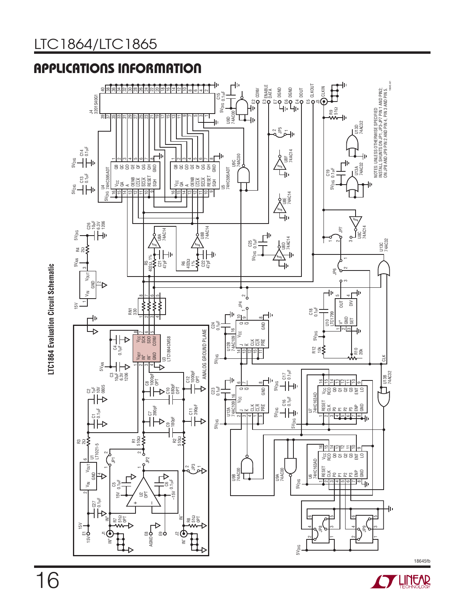# LTC1864/LTC1865





LTC1864 Evaluation Circuit Schematic **LTC1864 Evaluation Circuit Schematic**



18645fb

16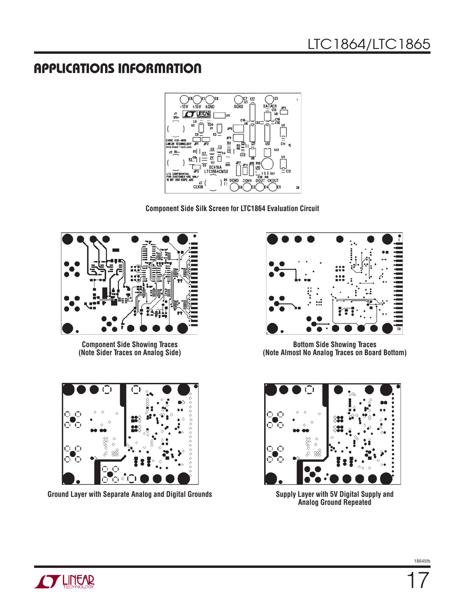

**Component Side Silk Screen for LTC1864 Evaluation Circuit**



**Component Side Showing Traces (Note Sider Traces on Analog Side)**



**Ground Layer with Separate Analog and Digital Grounds** 



**Bottom Side Showing Traces (Note Almost No Analog Traces on Board Bottom)**



**Analog Ground Repeated**

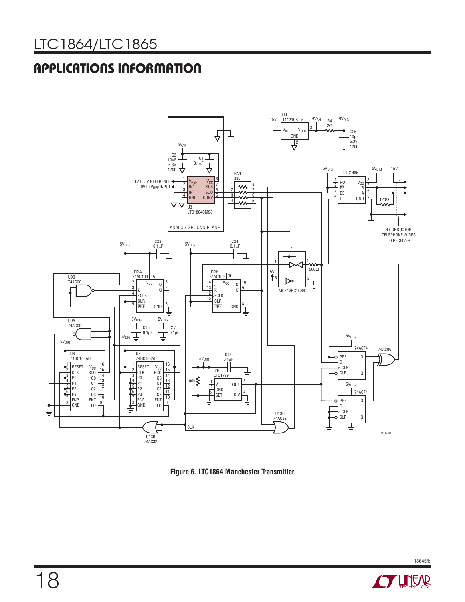



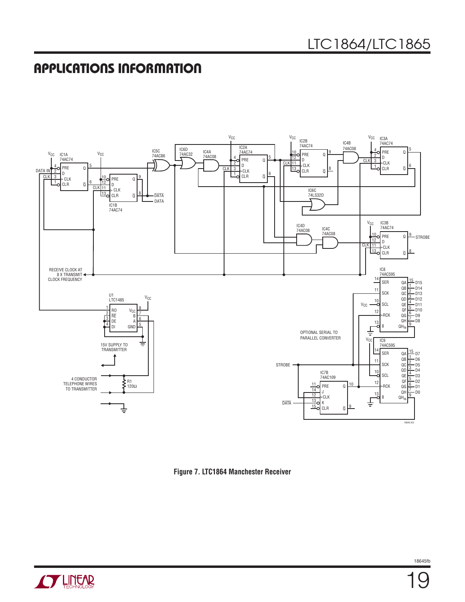

**Figure 7. LTC1864 Manchester Receiver**

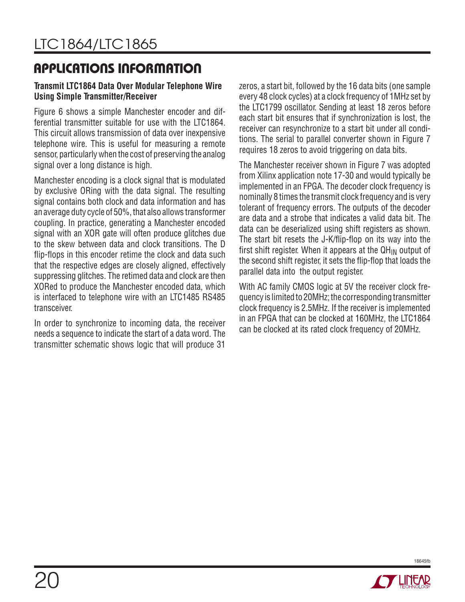#### **Transmit LTC1864 Data Over Modular Telephone Wire Using Simple Transmitter/Receiver**

Figure 6 shows a simple Manchester encoder and differential transmitter suitable for use with the LTC1864. This circuit allows transmission of data over inexpensive telephone wire. This is useful for measuring a remote sensor, particularly when the cost of preserving the analog signal over a long distance is high.

Manchester encoding is a clock signal that is modulated by exclusive ORing with the data signal. The resulting signal contains both clock and data information and has an average duty cycle of 50%, that also allows transformer coupling. In practice, generating a Manchester encoded signal with an XOR gate will often produce glitches due to the skew between data and clock transitions. The D flip-flops in this encoder retime the clock and data such that the respective edges are closely aligned, effectively suppressing glitches. The retimed data and clock are then XORed to produce the Manchester encoded data, which is interfaced to telephone wire with an LTC1485 RS485 transceiver.

In order to synchronize to incoming data, the receiver needs a sequence to indicate the start of a data word. The transmitter schematic shows logic that will produce 31

zeros, a start bit, followed by the 16 data bits (one sample every 48 clock cycles) at a clock frequency of 1MHz set by the LTC1799 oscillator. Sending at least 18 zeros before each start bit ensures that if synchronization is lost, the receiver can resynchronize to a start bit under all conditions. The serial to parallel converter shown in Figure 7 requires 18 zeros to avoid triggering on data bits.

The Manchester receiver shown in Figure 7 was adopted from Xilinx application note 17-30 and would typically be implemented in an FPGA. The decoder clock frequency is nominally 8 times the transmit clock frequency and is very tolerant of frequency errors. The outputs of the decoder are data and a strobe that indicates a valid data bit. The data can be deserialized using shift registers as shown. The start bit resets the J-K/flip-flop on its way into the first shift register. When it appears at the  $QH_{IN}$  output of the second shift register, it sets the flip-flop that loads the parallel data into the output register.

With AC family CMOS logic at 5V the receiver clock frequency is limited to 20MHz; the corresponding transmitter clock frequency is 2.5MHz. If the receiver is implemented in an FPGA that can be clocked at 160MHz, the LTC1864 can be clocked at its rated clock frequency of 20MHz.

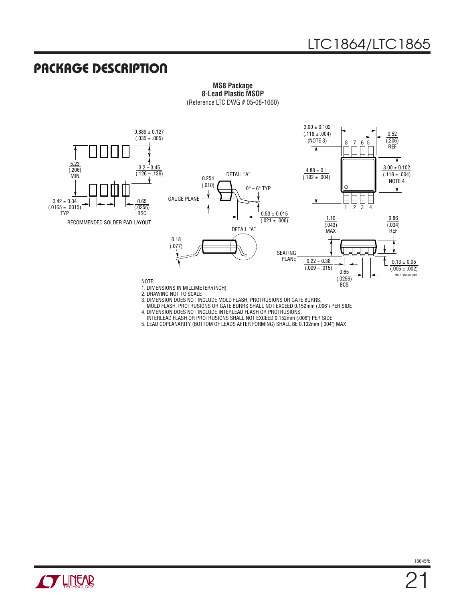### **PACKAGE DESCRIPTION**



**MS8 Package 8-Lead Plastic MSOP** (Reference LTC DWG # 05-08-1660)

3. DIMENSION DOES NOT INCLUDE MOLD FLASH, PROTRUSIONS OR GATE BURRS. MOLD FLASH, PROTRUSIONS OR GATE BURRS SHALL NOT EXCEED 0.152mm (.006") PER SIDE

4. DIMENSION DOES NOT INCLUDE INTERLEAD FLASH OR PROTRUSIONS.

INTERLEAD FLASH OR PROTRUSIONS SHALL NOT EXCEED 0.152mm (.006") PER SIDE

5. LEAD COPLANARITY (BOTTOM OF LEADS AFTER FORMING) SHALL BE 0.102mm (.004") MAX

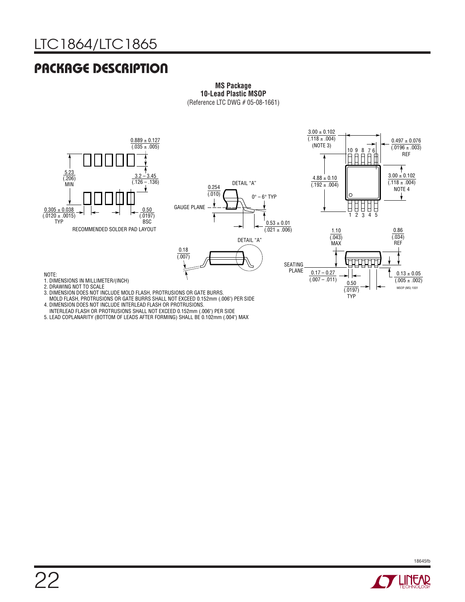# LTC1864/LTC1865

## **PACKAGE DESCRIPTION**



**MS Package 10-Lead Plastic MSOP** (Reference LTC DWG # 05-08-1661)

MOLD FLASH, PROTRUSIONS OR GATE BURRS SHALL NOT EXCEED 0.152mm (.006") PER SIDE

- 4. DIMENSION DOES NOT INCLUDE INTERLEAD FLASH OR PROTRUSIONS. INTERLEAD FLASH OR PROTRUSIONS SHALL NOT EXCEED 0.152mm (.006") PER SIDE
- 5. LEAD COPLANARITY (BOTTOM OF LEADS AFTER FORMING) SHALL BE 0.102mm (.004") MAX

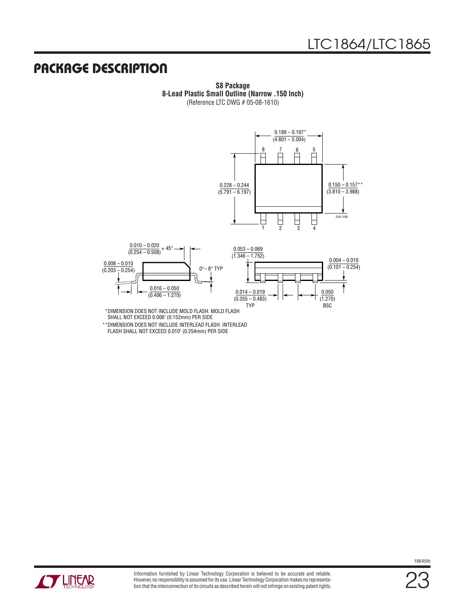### **PACKAGE DESCRIPTION**

**S8 Package 8-Lead Plastic Small Outline (Narrow .150 Inch)** (Reference LTC DWG # 05-08-1610)





DIMENSION DOES NOT INCLUDE MOLD FLASH. MOLD FLASH \* SHALL NOT EXCEED 0.006" (0.152mm) PER SIDE

DIMENSION DOES NOT INCLUDE INTERLEAD FLASH. INTERLEAD \*\*FLASH SHALL NOT EXCEED 0.010" (0.254mm) PER SIDE



23